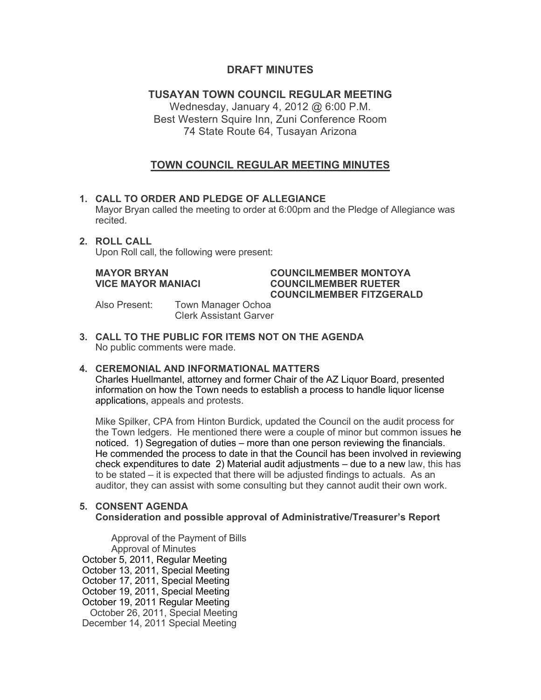## **DRAFT MINUTES**

# **TUSAYAN TOWN COUNCIL REGULAR MEETING**

Wednesday, January 4, 2012 @ 6:00 P.M. Best Western Squire Inn, Zuni Conference Room 74 State Route 64, Tusayan Arizona

# **TOWN COUNCIL REGULAR MEETING MINUTES**

## **1. CALL TO ORDER AND PLEDGE OF ALLEGIANCE**

Mayor Bryan called the meeting to order at 6:00pm and the Pledge of Allegiance was recited.

### **2. ROLL CALL**

Upon Roll call, the following were present:

#### **MAYOR BRYAN COUNCILMEMBER MONTOYA VICE MAYOR MANIACI COUNCILMEMBER RUETER COUNCILMEMBER FITZGERALD**

Also Present: Town Manager Ochoa Clerk Assistant Garver

**3. CALL TO THE PUBLIC FOR ITEMS NOT ON THE AGENDA**  No public comments were made.

#### **4. CEREMONIAL AND INFORMATIONAL MATTERS**

Charles Huellmantel, attorney and former Chair of the AZ Liquor Board, presented information on how the Town needs to establish a process to handle liquor license applications, appeals and protests.

Mike Spilker, CPA from Hinton Burdick, updated the Council on the audit process for the Town ledgers. He mentioned there were a couple of minor but common issues he noticed. 1) Segregation of duties – more than one person reviewing the financials. He commended the process to date in that the Council has been involved in reviewing check expenditures to date 2) Material audit adjustments – due to a new law, this has to be stated – it is expected that there will be adjusted findings to actuals. As an auditor, they can assist with some consulting but they cannot audit their own work.

#### **5. CONSENT AGENDA Consideration and possible approval of Administrative/Treasurer's Report**

Approval of the Payment of Bills Approval of Minutes October 5, 2011, Regular Meeting October 13, 2011, Special Meeting October 17, 2011, Special Meeting October 19, 2011, Special Meeting October 19, 2011 Regular Meeting October 26, 2011, Special Meeting December 14, 2011 Special Meeting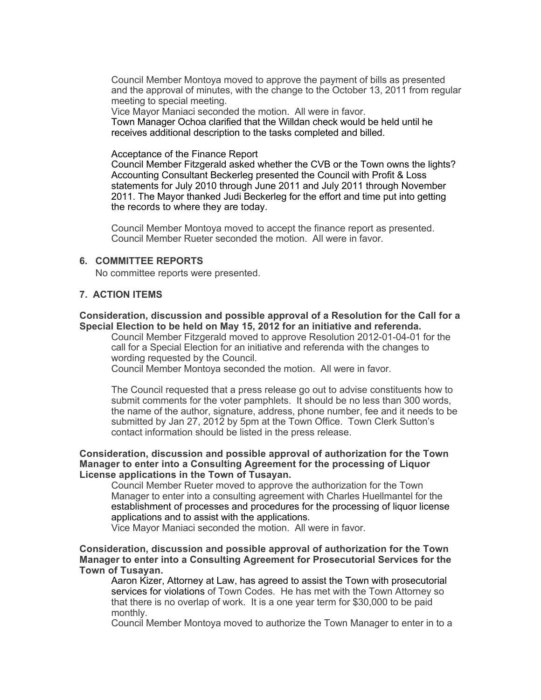Council Member Montoya moved to approve the payment of bills as presented and the approval of minutes, with the change to the October 13, 2011 from regular meeting to special meeting.

Vice Mayor Maniaci seconded the motion. All were in favor. Town Manager Ochoa clarified that the Willdan check would be held until he receives additional description to the tasks completed and billed.

#### Acceptance of the Finance Report

Council Member Fitzgerald asked whether the CVB or the Town owns the lights? Accounting Consultant Beckerleg presented the Council with Profit & Loss statements for July 2010 through June 2011 and July 2011 through November 2011. The Mayor thanked Judi Beckerleg for the effort and time put into getting the records to where they are today.

Council Member Montoya moved to accept the finance report as presented. Council Member Rueter seconded the motion. All were in favor.

#### **6. COMMITTEE REPORTS**

No committee reports were presented.

#### **7. ACTION ITEMS**

#### **Consideration, discussion and possible approval of a Resolution for the Call for a Special Election to be held on May 15, 2012 for an initiative and referenda.**

Council Member Fitzgerald moved to approve Resolution 2012-01-04-01 for the call for a Special Election for an initiative and referenda with the changes to wording requested by the Council.

Council Member Montoya seconded the motion. All were in favor.

The Council requested that a press release go out to advise constituents how to submit comments for the voter pamphlets. It should be no less than 300 words, the name of the author, signature, address, phone number, fee and it needs to be submitted by Jan 27, 2012 by 5pm at the Town Office. Town Clerk Sutton's contact information should be listed in the press release.

#### **Consideration, discussion and possible approval of authorization for the Town Manager to enter into a Consulting Agreement for the processing of Liquor License applications in the Town of Tusayan.**

Council Member Rueter moved to approve the authorization for the Town Manager to enter into a consulting agreement with Charles Huellmantel for the establishment of processes and procedures for the processing of liquor license applications and to assist with the applications.

Vice Mayor Maniaci seconded the motion. All were in favor.

#### **Consideration, discussion and possible approval of authorization for the Town Manager to enter into a Consulting Agreement for Prosecutorial Services for the Town of Tusayan.**

Aaron Kizer, Attorney at Law, has agreed to assist the Town with prosecutorial services for violations of Town Codes. He has met with the Town Attorney so that there is no overlap of work. It is a one year term for \$30,000 to be paid monthly.

Council Member Montoya moved to authorize the Town Manager to enter in to a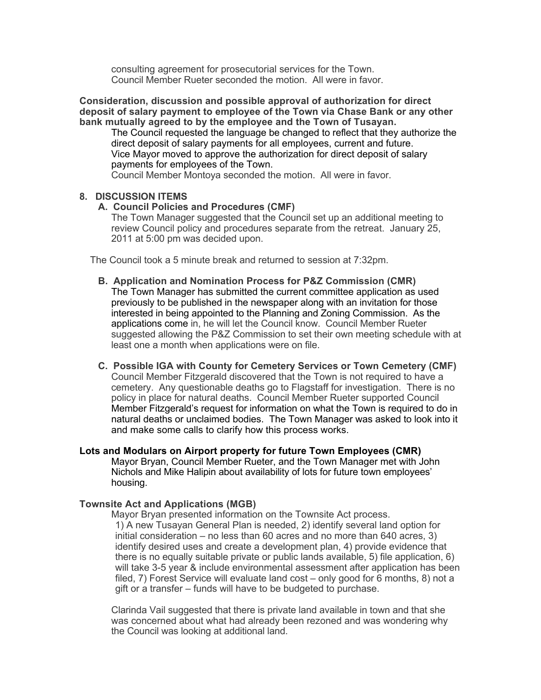consulting agreement for prosecutorial services for the Town. Council Member Rueter seconded the motion. All were in favor.

**Consideration, discussion and possible approval of authorization for direct deposit of salary payment to employee of the Town via Chase Bank or any other bank mutually agreed to by the employee and the Town of Tusayan.**

The Council requested the language be changed to reflect that they authorize the direct deposit of salary payments for all employees, current and future. Vice Mayor moved to approve the authorization for direct deposit of salary payments for employees of the Town. Council Member Montoya seconded the motion. All were in favor.

#### **8. DISCUSSION ITEMS**

#### **A. Council Policies and Procedures (CMF)**

The Town Manager suggested that the Council set up an additional meeting to review Council policy and procedures separate from the retreat. January 25, 2011 at 5:00 pm was decided upon.

The Council took a 5 minute break and returned to session at 7:32pm.

- **B. Application and Nomination Process for P&Z Commission (CMR)** The Town Manager has submitted the current committee application as used previously to be published in the newspaper along with an invitation for those interested in being appointed to the Planning and Zoning Commission. As the applications come in, he will let the Council know. Council Member Rueter suggested allowing the P&Z Commission to set their own meeting schedule with at least one a month when applications were on file.
- **C. Possible IGA with County for Cemetery Services or Town Cemetery (CMF)** Council Member Fitzgerald discovered that the Town is not required to have a cemetery. Any questionable deaths go to Flagstaff for investigation. There is no policy in place for natural deaths. Council Member Rueter supported Council Member Fitzgerald's request for information on what the Town is required to do in natural deaths or unclaimed bodies. The Town Manager was asked to look into it and make some calls to clarify how this process works.

**Lots and Modulars on Airport property for future Town Employees (CMR)** Mayor Bryan, Council Member Rueter, and the Town Manager met with John Nichols and Mike Halipin about availability of lots for future town employees' housing.

#### **Townsite Act and Applications (MGB)**

Mayor Bryan presented information on the Townsite Act process. 1) A new Tusayan General Plan is needed, 2) identify several land option for initial consideration – no less than 60 acres and no more than 640 acres, 3) identify desired uses and create a development plan, 4) provide evidence that there is no equally suitable private or public lands available, 5) file application, 6) will take 3-5 year & include environmental assessment after application has been filed, 7) Forest Service will evaluate land cost – only good for 6 months, 8) not a gift or a transfer – funds will have to be budgeted to purchase.

Clarinda Vail suggested that there is private land available in town and that she was concerned about what had already been rezoned and was wondering why the Council was looking at additional land.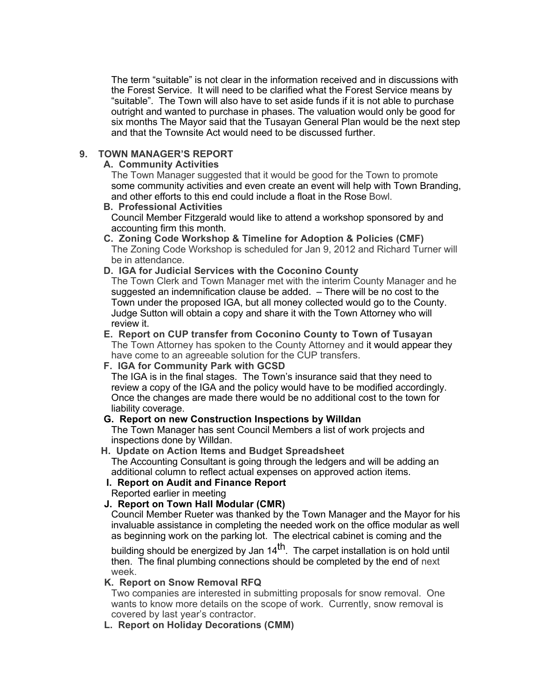The term "suitable" is not clear in the information received and in discussions with the Forest Service. It will need to be clarified what the Forest Service means by "suitable". The Town will also have to set aside funds if it is not able to purchase outright and wanted to purchase in phases. The valuation would only be good for six months The Mayor said that the Tusayan General Plan would be the next step and that the Townsite Act would need to be discussed further.

### **9. TOWN MANAGER'S REPORT**

#### **A. Community Activities**

The Town Manager suggested that it would be good for the Town to promote some community activities and even create an event will help with Town Branding, and other efforts to this end could include a float in the Rose Bowl.

#### **B. Professional Activities**

Council Member Fitzgerald would like to attend a workshop sponsored by and accounting firm this month.

 **C. Zoning Code Workshop & Timeline for Adoption & Policies (CMF)** The Zoning Code Workshop is scheduled for Jan 9, 2012 and Richard Turner will be in attendance.

#### **D. IGA for Judicial Services with the Coconino County**

The Town Clerk and Town Manager met with the interim County Manager and he suggested an indemnification clause be added. – There will be no cost to the Town under the proposed IGA, but all money collected would go to the County. Judge Sutton will obtain a copy and share it with the Town Attorney who will review it.

#### **E. Report on CUP transfer from Coconino County to Town of Tusayan** The Town Attorney has spoken to the County Attorney and it would appear they

have come to an agreeable solution for the CUP transfers.

 **F. IGA for Community Park with GCSD**

The IGA is in the final stages. The Town's insurance said that they need to review a copy of the IGA and the policy would have to be modified accordingly. Once the changes are made there would be no additional cost to the town for liability coverage.

#### **G. Report on new Construction Inspections by Willdan**

The Town Manager has sent Council Members a list of work projects and inspections done by Willdan.

# **H. Update on Action Items and Budget Spreadsheet**

The Accounting Consultant is going through the ledgers and will be adding an additional column to reflect actual expenses on approved action items.

# **I. Report on Audit and Finance Report**

Reported earlier in meeting

#### **J. Report on Town Hall Modular (CMR)**

Council Member Rueter was thanked by the Town Manager and the Mayor for his invaluable assistance in completing the needed work on the office modular as well as beginning work on the parking lot. The electrical cabinet is coming and the

building should be energized by Jan  $14<sup>th</sup>$ . The carpet installation is on hold until then. The final plumbing connections should be completed by the end of next week.

#### **K. Report on Snow Removal RFQ**

Two companies are interested in submitting proposals for snow removal. One wants to know more details on the scope of work. Currently, snow removal is covered by last year's contractor.

 **L. Report on Holiday Decorations (CMM)**